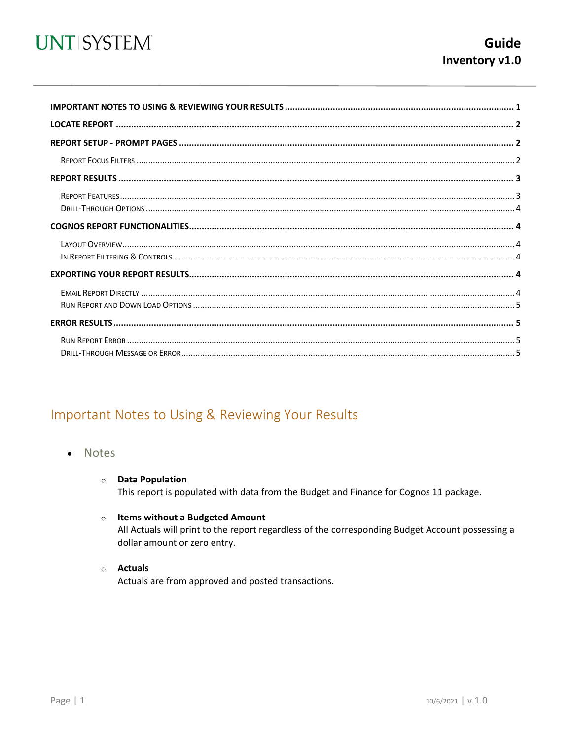

<span id="page-0-0"></span>

## Important Notes to Using & Reviewing Your Results

- Notes
	- **O** Data Population This report is populated with data from the Budget and Finance for Cognos 11 package.
	- o Items without a Budgeted Amount

All Actuals will print to the report regardless of the corresponding Budget Account possessing a dollar amount or zero entry.

o Actuals

Actuals are from approved and posted transactions.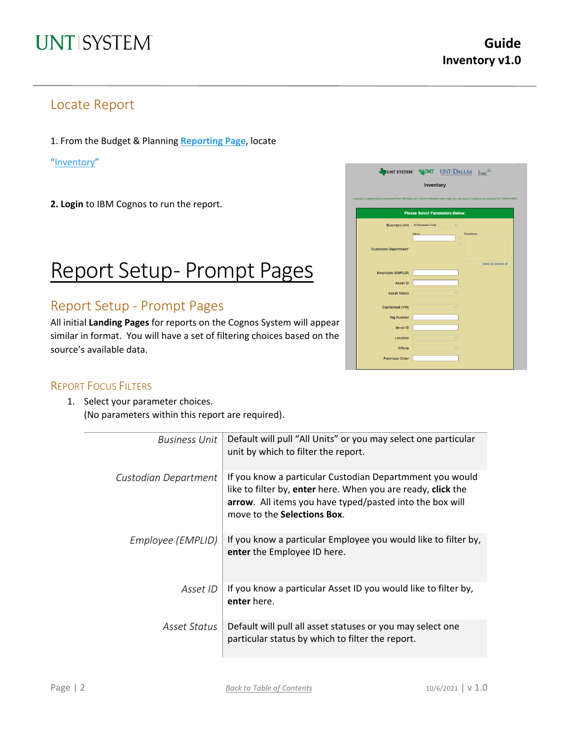### Locate Report

1. From the Budget & Planning **[Reporting Page](https://finance.untsystem.edu/reporting)**, locate

["Inventory"](https://cognospd.admin.unt.edu/bi/?pathRef=.public_folders%2FInventory%2FInventory)

**2. Login** to IBM Cognos to run the report.

# Report Setup- Prompt Pages

### Report Setup - Prompt Pages

All initial **Landing Pages** for reports on the Cognos System will appear similar in format. You will have a set of filtering choices based on the source's available data.

|                                                                                                                                                    | JUNT SYSTEM WINT UNT DALLAS hsc        |  |  |  |  |  |  |  |  |
|----------------------------------------------------------------------------------------------------------------------------------------------------|----------------------------------------|--|--|--|--|--|--|--|--|
| Inventory                                                                                                                                          |                                        |  |  |  |  |  |  |  |  |
| In general, Cognos reports are sourced from the Data mart, which is refreshed every night. You can expect Cognos to be available from 12AM to 9PM. |                                        |  |  |  |  |  |  |  |  |
|                                                                                                                                                    |                                        |  |  |  |  |  |  |  |  |
|                                                                                                                                                    | <b>Please Select Parameters Below:</b> |  |  |  |  |  |  |  |  |
| <b>Business Unit</b> All Business Units                                                                                                            |                                        |  |  |  |  |  |  |  |  |
|                                                                                                                                                    | Selections:<br><b>Value:</b>           |  |  |  |  |  |  |  |  |
| <b>Custodian Department*</b>                                                                                                                       | ×                                      |  |  |  |  |  |  |  |  |
|                                                                                                                                                    |                                        |  |  |  |  |  |  |  |  |
|                                                                                                                                                    | Select all Deselect all                |  |  |  |  |  |  |  |  |
| Employee (EMPLID)                                                                                                                                  |                                        |  |  |  |  |  |  |  |  |
| Asset ID                                                                                                                                           |                                        |  |  |  |  |  |  |  |  |
| <b>Asset Status</b>                                                                                                                                |                                        |  |  |  |  |  |  |  |  |
| Capitalized (Y/N)                                                                                                                                  |                                        |  |  |  |  |  |  |  |  |
| <b>Tag Number</b>                                                                                                                                  |                                        |  |  |  |  |  |  |  |  |
| Serial ID                                                                                                                                          |                                        |  |  |  |  |  |  |  |  |
|                                                                                                                                                    |                                        |  |  |  |  |  |  |  |  |
| Location                                                                                                                                           |                                        |  |  |  |  |  |  |  |  |
| Offsite                                                                                                                                            |                                        |  |  |  |  |  |  |  |  |
| <b>Purchase Order</b>                                                                                                                              |                                        |  |  |  |  |  |  |  |  |

#### REPORT FOCUS FILTERS

1. Select your parameter choices. (No parameters within this report are required).

| <b>Business Unit</b> | Default will pull "All Units" or you may select one particular<br>unit by which to filter the report.                                                                                                                       |
|----------------------|-----------------------------------------------------------------------------------------------------------------------------------------------------------------------------------------------------------------------------|
| Custodian Department | If you know a particular Custodian Departmment you would<br>like to filter by, enter here. When you are ready, click the<br>arrow. All items you have typed/pasted into the box will<br>move to the <b>Selections Box</b> . |
| Employee (EMPLID)    | If you know a particular Employee you would like to filter by,<br>enter the Employee ID here.                                                                                                                               |
| Asset ID             | If you know a particular Asset ID you would like to filter by,<br>enter here.                                                                                                                                               |
| Asset Status         | Default will pull all asset statuses or you may select one<br>particular status by which to filter the report.                                                                                                              |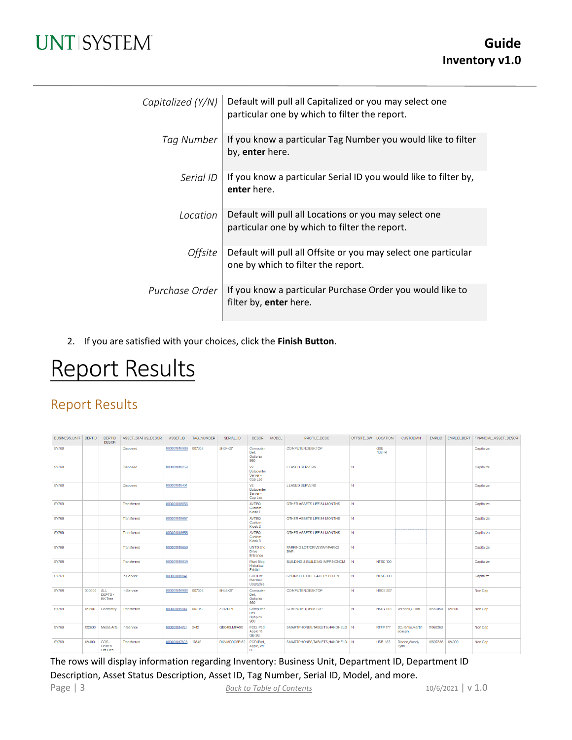# **UNTISYSTEM**

| Capitalized $(Y/N)$ | Default will pull all Capitalized or you may select one<br>particular one by which to filter the report. |
|---------------------|----------------------------------------------------------------------------------------------------------|
| Tag Number          | If you know a particular Tag Number you would like to filter<br>by, enter here.                          |
| Serial ID           | If you know a particular Serial ID you would like to filter by,<br>enter here.                           |
| Location            | Default will pull all Locations or you may select one<br>particular one by which to filter the report.   |
| <i>Offsite</i>      | Default will pull all Offsite or you may select one particular<br>one by which to filter the report.     |
| Purchase Order      | If you know a particular Purchase Order you would like to<br>filter by, enter here.                      |

2. If you are satisfied with your choices, click the **Finish Button**.

# Report Results

## Report Results

| <b>BUSINESS UNIT DEPTID</b> |        | <b>DEPTID</b><br><b>DESCR</b>   | ASSET STATUS DESCR | ASSET ID     | <b>TAG NUMBER</b> | SERIAL ID      | <b>DESCR</b>                                       | <b>MODEL</b> | PROFILE DESC                             | OFFSITE SW   LOCATION |                            | <b>CUSTODIAN</b>          | <b>EMPLID</b>   |        | EMPLID DEPT   FINANCIAL ASSET DESCR |
|-----------------------------|--------|---------------------------------|--------------------|--------------|-------------------|----------------|----------------------------------------------------|--------------|------------------------------------------|-----------------------|----------------------------|---------------------------|-----------------|--------|-------------------------------------|
| <b>SY769</b>                |        |                                 | <b>Disposed</b>    | 000001016969 | 007302            | <b>5H34KS1</b> | Computer.<br>Dell.<br>Optiplex<br>990              |              | <b>COMPUTER.DESKTOP</b>                  |                       | <b>GSB</b><br><b>138FR</b> |                           |                 |        | Capitalize                          |
| <b>SY769</b>                |        |                                 | <b>Disposed</b>    | 000001018259 |                   |                | V <sub>2</sub><br>Datacenter<br>Server-<br>Cap Lea |              | <b>LEASED SERVERS</b>                    | N                     |                            |                           |                 |        | Capitalize                          |
| <b>SY769</b>                |        |                                 | <b>Disposed</b>    | 000001018401 |                   |                | V <sub>2</sub><br>Datacenter<br>Server-<br>Cap Lea |              | <b>LEASED SERVERS</b>                    | N                     |                            |                           |                 |        | Capitalize                          |
| <b>SY769</b>                |        |                                 | Transferred        | 000001018656 |                   |                | <b>AVTEO</b><br>Custom<br>Kiosk <sub>1</sub>       |              | OTHER ASSETS LIFE 84 MONTHS              | N                     |                            |                           |                 |        | Capitalize                          |
| <b>SY769</b>                |        |                                 | Transferred        | 000001018657 |                   |                | <b>AVTEQ</b><br>Custom<br>Kiosk <sub>2</sub>       |              | OTHER ASSETS LIFE 84 MONTHS              | N                     |                            |                           |                 |        | Capitalize                          |
| <b>SY769</b>                |        |                                 | Transferred        | 000001018658 |                   |                | <b>AVTEQ</b><br>Custom<br>Klosk <sub>3</sub>       |              | OTHER ASSETS LIFE 84 MONTHS              | N                     |                            |                           |                 |        | Capitalize                          |
| <b>SY769</b>                |        |                                 | Transferred        | 000001018659 |                   |                | UNTD 2nd<br><b>Drive</b><br>Entrance               |              | PARKING LOT/DRIVEWAY/PARKG<br><b>BAR</b> | N                     |                            |                           |                 |        | Capitalize                          |
| <b>SY769</b>                |        |                                 | Transferred        | 000001018839 |                   |                | Muni Bldg<br>Historical<br>Exhibit                 |              | BUILDING & BUILDING IMPRINONCM           | N                     | <b>NTSC 100</b>            |                           |                 |        | Capitalize                          |
| <b>SY769</b>                |        |                                 | In Service         | 000001018841 |                   |                | SBD Fire<br>Marshall<br>Upgrades                   |              | SPRINKLER FIRE SAFETY BLD INT            | N                     | <b>NTSC 100</b>            |                           |                 |        | Capitalize                          |
| <b>SY769</b>                | 000000 | ALL<br>DEPTS-<br><b>KK</b> Tree | In Service         | 000001016966 | 007305            | 5H45KS1        | Computer,<br>Dell,<br>Optiplex<br>990              |              | COMPUTER, DESKTOP                        | N                     | <b>HSCE 207</b>            |                           |                 |        | Non Cap                             |
| <b>SY769</b>                | 121200 | Chemistry                       | Transferred        | 000001015104 | 007082            | 31DZDP1        | Computer<br>Dell<br>Optiplex<br>980                |              | COMPUTER.DESKTOP                         | N                     | HKRY 001                   | Verbeck.Guido             | 10563150        | 121200 | Non Cap                             |
| <b>SY769</b>                | 122600 | Media Arts                      | In Service         | 000001014761 | 2412              | GB040LMFA90    | PCD, iPad.<br>Apple 16<br>GB <sub>3G</sub>         |              | SMARTPHONES, TABLETS, HANDHELD N         |                       | <b>RTFP 177</b>            | Dzurenko.Martin<br>Joseph | 11060263        |        | Non Cap                             |
| <b>SY769</b>                | 124100 | COS-<br>Dean's<br>Off-Gen       | Transferred        | 000001017603 | 17842             | DKVMD0C6F182   | PCD iPad.<br>Apple, Wi-<br>FĹ.                     |              | SMARTPHONES.TABLETS.HANDHELD N           |                       | <b>USB 135</b>             | Risdon, Wendy<br>Lynn     | 10897336 124000 |        | Non Cap                             |

Page | 3 **[Back to Table of Contents](#page-0-0)** 10/6/2021 | v 1.0 The rows will display information regarding Inventory: Business Unit, Department ID, Department ID Description, Asset Status Description, Asset ID, Tag Number, Serial ID, Model, and more.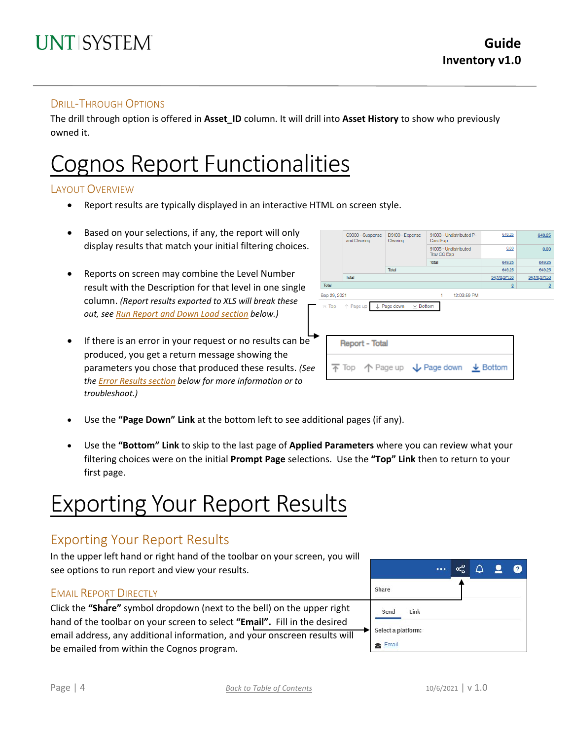#### DRILL-THROUGH OPTIONS

The drill through option is offered in **Asset\_ID** column. It will drill into **Asset History** to show who previously owned it.

# Cognos Report Functionalities

#### LAYOUT OVERVIEW

- Report results are typically displayed in an interactive HTML on screen style.
- Based on your selections, if any, the report will only display results that match your initial filtering choices.
- Reports on screen may combine the Level Number result with the Description for that level in one single column. *(Report results exported to XLS will break these out, see Run Report and Down Load section below.)*
- If there is an error in your request or no results can be produced, you get a return message showing the parameters you chose that produced these results. *(See th[e Error Results section](#page-4-0) below for more information or to troubleshoot.)*

|       | and Clearing                               | C9000 - Suspense      | D9100 - Expense<br>Clearing | 91003 - Undistributed P-<br>Card Exp                                                    | 649.25                   | 649.25           |
|-------|--------------------------------------------|-----------------------|-----------------------------|-----------------------------------------------------------------------------------------|--------------------------|------------------|
|       |                                            |                       |                             | 91005 - Undistributed<br>Trav CC Exp                                                    | 0.00                     | 0.00             |
|       |                                            |                       |                             | <b>Total</b>                                                                            | 649.25                   | 649.25           |
|       |                                            |                       | Total                       |                                                                                         | 649.25                   | 649.25           |
|       | Total                                      |                       |                             |                                                                                         | 34,170,371.53            | 34, 170, 371, 53 |
| Total |                                            |                       |                             |                                                                                         | $\underline{\mathsf{O}}$ | $\Omega$         |
|       | Sep 29, 2021                               |                       |                             | 12:03:59 PM<br>1                                                                        |                          |                  |
|       | $\overline{\wedge}$ Top $\uparrow$ Page up |                       | $\downarrow$ Page down      | $\times$ Bottom                                                                         |                          |                  |
|       |                                            | <b>Report - Total</b> |                             |                                                                                         |                          |                  |
|       |                                            |                       |                             | $\overline{\uparrow}$ Top $\uparrow$ Page up $\downarrow$ Page down $\downarrow$ Bottom |                          |                  |

- Use the **"Page Down" Link** at the bottom left to see additional pages (if any).
- Use the **"Bottom" Link** to skip to the last page of **Applied Parameters** where you can review what your filtering choices were on the initial **Prompt Page** selections. Use the **"Top" Link** then to return to your first page.

# Exporting Your Report Results

### Exporting Your Report Results

In the upper left hand or right hand of the toolbar on your screen, you will see options to run report and view your results.

#### EMAIL REPORT DIRECTLY

Click the **"Share"** symbol dropdown (next to the bell) on the upper right hand of the toolbar on your screen to select **"Email".** Fill in the desired email address, any additional information, and your onscreen results will be emailed from within the Cognos program.

|                    |  | 9 | 2 |
|--------------------|--|---|---|
| Share              |  |   |   |
| Send<br>Link       |  |   |   |
| Select a platform: |  |   |   |
| Email              |  |   |   |